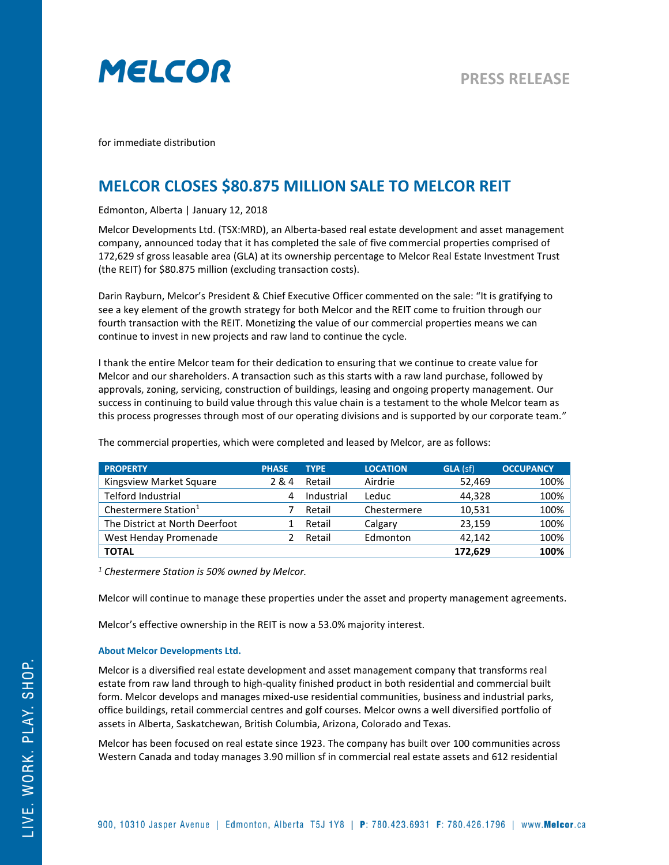

for immediate distribution

## **MELCOR CLOSES \$80.875 MILLION SALE TO MELCOR REIT**

Edmonton, Alberta | January 12, 2018

Melcor Developments Ltd. (TSX:MRD), an Alberta-based real estate development and asset management company, announced today that it has completed the sale of five commercial properties comprised of 172,629 sf gross leasable area (GLA) at its ownership percentage to Melcor Real Estate Investment Trust (the REIT) for \$80.875 million (excluding transaction costs).

Darin Rayburn, Melcor's President & Chief Executive Officer commented on the sale: "It is gratifying to see a key element of the growth strategy for both Melcor and the REIT come to fruition through our fourth transaction with the REIT. Monetizing the value of our commercial properties means we can continue to invest in new projects and raw land to continue the cycle.

I thank the entire Melcor team for their dedication to ensuring that we continue to create value for Melcor and our shareholders. A transaction such as this starts with a raw land purchase, followed by approvals, zoning, servicing, construction of buildings, leasing and ongoing property management. Our success in continuing to build value through this value chain is a testament to the whole Melcor team as this process progresses through most of our operating divisions and is supported by our corporate team."

| <b>PROPERTY</b>                  | <b>PHASE</b> | <b>TYPE</b> | <b>LOCATION</b> | GLA (sf) | <b>OCCUPANCY</b> |
|----------------------------------|--------------|-------------|-----------------|----------|------------------|
| Kingsview Market Square          | 2&4          | Retail      | Airdrie         | 52,469   | 100%             |
| Telford Industrial               | 4            | Industrial  | Leduc           | 44.328   | 100%             |
| Chestermere Station <sup>1</sup> |              | Retail      | Chestermere     | 10,531   | 100%             |
| The District at North Deerfoot   |              | Retail      | Calgary         | 23,159   | 100%             |
| West Henday Promenade            |              | Retail      | Edmonton        | 42.142   | 100%             |
| <b>TOTAL</b>                     |              |             |                 | 172,629  | 100%             |

The commercial properties, which were completed and leased by Melcor, are as follows:

*<sup>1</sup> Chestermere Station is 50% owned by Melcor.*

Melcor will continue to manage these properties under the asset and property management agreements.

Melcor's effective ownership in the REIT is now a 53.0% majority interest.

## **About Melcor Developments Ltd.**

Melcor is a diversified real estate development and asset management company that transforms real estate from raw land through to high-quality finished product in both residential and commercial built form. Melcor develops and manages mixed-use residential communities, business and industrial parks, office buildings, retail commercial centres and golf courses. Melcor owns a well diversified portfolio of assets in Alberta, Saskatchewan, British Columbia, Arizona, Colorado and Texas.

Melcor has been focused on real estate since 1923. The company has built over 100 communities across Western Canada and today manages 3.90 million sf in commercial real estate assets and 612 residential